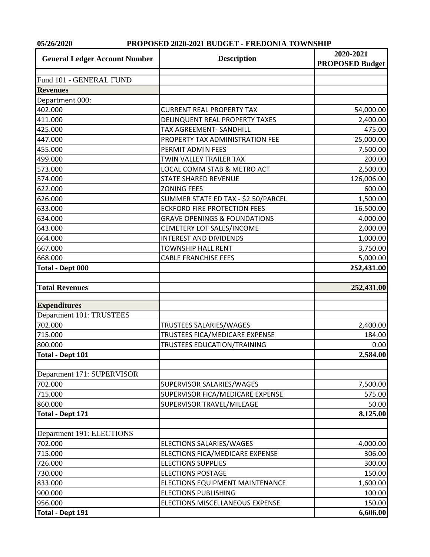**05/26/2020 PROPOSED 2020-2021 BUDGET - FREDONIA TOWNSHIP**

| <b>General Ledger Account Number</b> | <b>Description</b>                      | 2020-2021<br><b>PROPOSED Budget</b> |
|--------------------------------------|-----------------------------------------|-------------------------------------|
| Fund 101 - GENERAL FUND              |                                         |                                     |
| <b>Revenues</b>                      |                                         |                                     |
| Department 000:                      |                                         |                                     |
| 402.000                              | <b>CURRENT REAL PROPERTY TAX</b>        | 54,000.00                           |
| 411.000                              | DELINQUENT REAL PROPERTY TAXES          | 2,400.00                            |
| 425.000                              | TAX AGREEMENT- SANDHILL                 | 475.00                              |
| 447.000                              | PROPERTY TAX ADMINISTRATION FEE         | 25,000.00                           |
| 455.000                              | PERMIT ADMIN FEES                       | 7,500.00                            |
| 499.000                              | TWIN VALLEY TRAILER TAX                 | 200.00                              |
| 573.000                              | LOCAL COMM STAB & METRO ACT             | 2,500.00                            |
| 574.000                              | <b>STATE SHARED REVENUE</b>             | 126,006.00                          |
| 622.000                              | <b>ZONING FEES</b>                      | 600.00                              |
| 626.000                              | SUMMER STATE ED TAX - \$2.50/PARCEL     | 1,500.00                            |
| 633.000                              | <b>ECKFORD FIRE PROTECTION FEES</b>     | 16,500.00                           |
| 634.000                              | <b>GRAVE OPENINGS &amp; FOUNDATIONS</b> | 4,000.00                            |
| 643.000                              | CEMETERY LOT SALES/INCOME               | 2,000.00                            |
| 664.000                              | <b>INTEREST AND DIVIDENDS</b>           | 1,000.00                            |
| 667.000                              | <b>TOWNSHIP HALL RENT</b>               | 3,750.00                            |
| 668.000                              | <b>CABLE FRANCHISE FEES</b>             | 5,000.00                            |
| Total - Dept 000                     |                                         | 252,431.00                          |
|                                      |                                         |                                     |
| <b>Total Revenues</b>                |                                         | 252,431.00                          |
| <b>Expenditures</b>                  |                                         |                                     |
| Department 101: TRUSTEES             |                                         |                                     |
| 702.000                              | TRUSTEES SALARIES/WAGES                 | 2,400.00                            |
| 715.000                              | TRUSTEES FICA/MEDICARE EXPENSE          | 184.00                              |
| 800.000                              | TRUSTEES EDUCATION/TRAINING             | 0.00                                |
| <b>Total - Dept 101</b>              |                                         | 2,584.00                            |
|                                      |                                         |                                     |
| Department 171: SUPERVISOR           |                                         |                                     |
| 702.000                              | SUPERVISOR SALARIES/WAGES               | 7,500.00                            |
| 715.000                              | SUPERVISOR FICA/MEDICARE EXPENSE        | 575.00                              |
| 860.000                              | SUPERVISOR TRAVEL/MILEAGE               | 50.00                               |
| Total - Dept 171                     |                                         | 8,125.00                            |
| Department 191: ELECTIONS            |                                         |                                     |
| 702.000                              | ELECTIONS SALARIES/WAGES                | 4,000.00                            |
| 715.000                              | ELECTIONS FICA/MEDICARE EXPENSE         | 306.00                              |
| 726.000                              | <b>ELECTIONS SUPPLIES</b>               | 300.00                              |
| 730.000                              | <b>ELECTIONS POSTAGE</b>                | 150.00                              |
| 833.000                              | ELECTIONS EQUIPMENT MAINTENANCE         | 1,600.00                            |
| 900.000                              | <b>ELECTIONS PUBLISHING</b>             | 100.00                              |
| 956.000                              | ELECTIONS MISCELLANEOUS EXPENSE         | 150.00                              |
| Total - Dept 191                     |                                         | 6,606.00                            |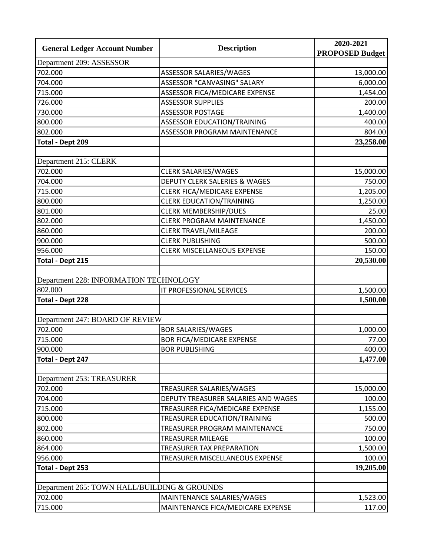| <b>General Ledger Account Number</b>         | <b>Description</b>                  | 2020-2021              |
|----------------------------------------------|-------------------------------------|------------------------|
|                                              |                                     | <b>PROPOSED Budget</b> |
| Department 209: ASSESSOR                     |                                     |                        |
| 702.000                                      | ASSESSOR SALARIES/WAGES             | 13,000.00              |
| 704.000                                      | ASSESSOR "CANVASING" SALARY         | 6,000.00               |
| 715.000                                      | ASSESSOR FICA/MEDICARE EXPENSE      | 1,454.00               |
| 726.000                                      | <b>ASSESSOR SUPPLIES</b>            | 200.00                 |
| 730.000                                      | <b>ASSESSOR POSTAGE</b>             | 1,400.00               |
| 800.000                                      | ASSESSOR EDUCATION/TRAINING         | 400.00                 |
| 802.000                                      | ASSESSOR PROGRAM MAINTENANCE        | 804.00                 |
| <b>Total - Dept 209</b>                      |                                     | 23,258.00              |
|                                              |                                     |                        |
| Department 215: CLERK                        |                                     |                        |
| 702.000                                      | <b>CLERK SALARIES/WAGES</b>         | 15,000.00              |
| 704.000                                      | DEPUTY CLERK SALERIES & WAGES       | 750.00                 |
| 715.000                                      | CLERK FICA/MEDICARE EXPENSE         | 1,205.00               |
| 800.000                                      | <b>CLERK EDUCATION/TRAINING</b>     | 1,250.00               |
| 801.000                                      | <b>CLERK MEMBERSHIP/DUES</b>        | 25.00                  |
| 802.000                                      | <b>CLERK PROGRAM MAINTENANCE</b>    | 1,450.00               |
| 860.000                                      | <b>CLERK TRAVEL/MILEAGE</b>         | 200.00                 |
| 900.000                                      | <b>CLERK PUBLISHING</b>             | 500.00                 |
| 956.000                                      | <b>CLERK MISCELLANEOUS EXPENSE</b>  | 150.00                 |
| <b>Total - Dept 215</b>                      |                                     | 20,530.00              |
|                                              |                                     |                        |
| Department 228: INFORMATION TECHNOLOGY       |                                     |                        |
| 802.000                                      | IT PROFESSIONAL SERVICES            | 1,500.00               |
| <b>Total - Dept 228</b>                      |                                     | 1,500.00               |
|                                              |                                     |                        |
| Department 247: BOARD OF REVIEW              |                                     |                        |
| 702.000                                      | <b>BOR SALARIES/WAGES</b>           | 1,000.00               |
| 715.000                                      | <b>BOR FICA/MEDICARE EXPENSE</b>    | 77.00                  |
| 900.000                                      | <b>BOR PUBLISHING</b>               | 400.00                 |
| Total - Dept 247                             |                                     | 1,477.00               |
|                                              |                                     |                        |
| Department 253: TREASURER                    |                                     |                        |
| 702.000                                      | TREASURER SALARIES/WAGES            | 15,000.00              |
| 704.000                                      | DEPUTY TREASURER SALARIES AND WAGES | 100.00                 |
| 715.000                                      | TREASURER FICA/MEDICARE EXPENSE     | 1,155.00               |
| 800.000                                      | TREASURER EDUCATION/TRAINING        | 500.00                 |
| 802.000                                      | TREASURER PROGRAM MAINTENANCE       | 750.00                 |
| 860.000                                      | TREASURER MILEAGE                   | 100.00                 |
| 864.000                                      | TREASURER TAX PREPARATION           | 1,500.00               |
| 956.000                                      | TREASURER MISCELLANEOUS EXPENSE     | 100.00                 |
| <b>Total - Dept 253</b>                      |                                     | 19,205.00              |
|                                              |                                     |                        |
| Department 265: TOWN HALL/BUILDING & GROUNDS |                                     |                        |
| 702.000                                      | MAINTENANCE SALARIES/WAGES          | 1,523.00               |
|                                              |                                     |                        |
| 715.000                                      | MAINTENANCE FICA/MEDICARE EXPENSE   | 117.00                 |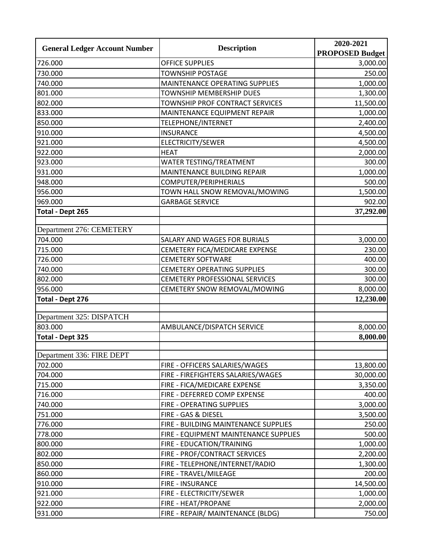| <b>General Ledger Account Number</b> | <b>Description</b>                    | 2020-2021<br><b>PROPOSED Budget</b> |
|--------------------------------------|---------------------------------------|-------------------------------------|
| 726.000                              | <b>OFFICE SUPPLIES</b>                | 3,000.00                            |
| 730.000                              | <b>TOWNSHIP POSTAGE</b>               | 250.00                              |
| 740.000                              | MAINTENANCE OPERATING SUPPLIES        | 1,000.00                            |
| 801.000                              | <b>TOWNSHIP MEMBERSHIP DUES</b>       | 1,300.00                            |
| 802.000                              | TOWNSHIP PROF CONTRACT SERVICES       | 11,500.00                           |
| 833.000                              | MAINTENANCE EQUIPMENT REPAIR          | 1,000.00                            |
| 850.000                              | TELEPHONE/INTERNET                    | 2,400.00                            |
| 910.000                              | <b>INSURANCE</b>                      | 4,500.00                            |
| 921.000                              | ELECTRICITY/SEWER                     | 4,500.00                            |
| 922.000                              | <b>HEAT</b>                           | 2,000.00                            |
| 923.000                              | WATER TESTING/TREATMENT               | 300.00                              |
| 931.000                              | MAINTENANCE BUILDING REPAIR           | 1,000.00                            |
| 948.000                              | COMPUTER/PERIPHERIALS                 | 500.00                              |
| 956.000                              | TOWN HALL SNOW REMOVAL/MOWING         | 1,500.00                            |
| 969.000                              | <b>GARBAGE SERVICE</b>                | 902.00                              |
| <b>Total - Dept 265</b>              |                                       | 37,292.00                           |
|                                      |                                       |                                     |
| Department 276: CEMETERY             |                                       |                                     |
| 704.000                              | SALARY AND WAGES FOR BURIALS          | 3,000.00                            |
| 715.000                              | CEMETERY FICA/MEDICARE EXPENSE        | 230.00                              |
| 726.000                              | <b>CEMETERY SOFTWARE</b>              | 400.00                              |
| 740.000                              | <b>CEMETERY OPERATING SUPPLIES</b>    | 300.00                              |
| 802.000                              | CEMETERY PROFESSIONAL SERVICES        | 300.00                              |
| 956.000                              | CEMETERY SNOW REMOVAL/MOWING          | 8,000.00                            |
| <b>Total - Dept 276</b>              |                                       | 12,230.00                           |
|                                      |                                       |                                     |
| Department 325: DISPATCH             |                                       |                                     |
| 803.000                              | AMBULANCE/DISPATCH SERVICE            | 8,000.00                            |
| <b>Total - Dept 325</b>              |                                       | 8,000.00                            |
| Department 336: FIRE DEPT            |                                       |                                     |
| 702.000                              | FIRE - OFFICERS SALARIES/WAGES        | 13,800.00                           |
| 704.000                              | FIRE - FIREFIGHTERS SALARIES/WAGES    | 30,000.00                           |
| 715.000                              | FIRE - FICA/MEDICARE EXPENSE          | 3,350.00                            |
| 716.000                              | FIRE - DEFERRED COMP EXPENSE          | 400.00                              |
| 740.000                              | FIRE - OPERATING SUPPLIES             | 3,000.00                            |
| 751.000                              | FIRE - GAS & DIESEL                   | 3,500.00                            |
| 776.000                              | FIRE - BUILDING MAINTENANCE SUPPLIES  | 250.00                              |
| 778.000                              | FIRE - EQUIPMENT MAINTENANCE SUPPLIES | 500.00                              |
| 800.000                              | FIRE - EDUCATION/TRAINING             | 1,000.00                            |
| 802.000                              | FIRE - PROF/CONTRACT SERVICES         | 2,200.00                            |
| 850.000                              | FIRE - TELEPHONE/INTERNET/RADIO       | 1,300.00                            |
| 860.000                              | FIRE - TRAVEL/MILEAGE                 | 200.00                              |
| 910.000                              | FIRE - INSURANCE                      | 14,500.00                           |
| 921.000                              | FIRE - ELECTRICITY/SEWER              | 1,000.00                            |
| 922.000                              | FIRE - HEAT/PROPANE                   | 2,000.00                            |
| 931.000                              | FIRE - REPAIR/ MAINTENANCE (BLDG)     | 750.00                              |